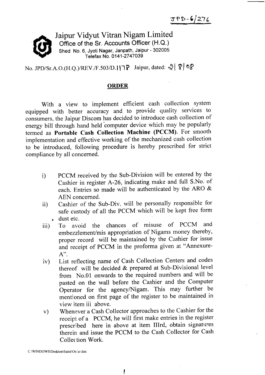:s?D-elztg



Jaipur Vidyut Vitran Nigam Limited Office of the Sr. Accounts Officer (H.Q.) Shed No. 6, Jyoti Nagar, Janpath, Jaipur - 302005 Telefax No. 01 41 -27 47039

No. JPD/Sr.A.O.(H.Q.)/REV./F.503/D. IIT? Jaipur, dated:  $\sqrt{8}$   $\sqrt{8}$ 

#### ORDER

With a view to implement efficient cash collection system equipped with better accuracy and to provide quality services to consumers, the Jaipur Discom has decided to introduce cash collection of energy bill through hand held'computer device which may be popularly termed as Portable Cash Collection Machine (PCCM). For smooth implementation and effective working of the mechanized cash collection to be introduced, following procedure is hereby prescribed for strict compliance by all concerned.

- i) PCCM received by the Sub-Division will be entered by the cashier in register A-26, indicating make and full s.No. of each. Entries so made will be authenticated by the ARO & AEN concerned.
- ii) Cashier of the Sub-Div. will be personally responsible for safe custody of all the PCCM which will be kept free form dust etc.
- iii) To avoid the chances of misuse of PCCM and embezzlement/mis appropriation of Nigams money thereby, proper record will be maintained by the Cashier for issue and receipt of PCCM in the proforma given at "Annexure- $A$ ".
- iv) List reflecting name of Cash Collection Centers and codes thereof will be decided & prepared at Sub-Divisional level from No.01 onwards to the required numbers and will be pasted on the wall before the Cashier and the Computer Operator for the agency/Nigam. This may further be mentioned on first page of the register to be maintained in view item iii above.
- v) Whenever a Cash Collector approaches to the Cashier for the receipt of a PCCM, he will first make entries in the register prescribed here in above at item IIIrd, obtain signatures therein and issue the PCCM to the Cash Collector for Cash Collec tion Work.

C:\WINDOWS\Desktop\Saini\Orc er.doc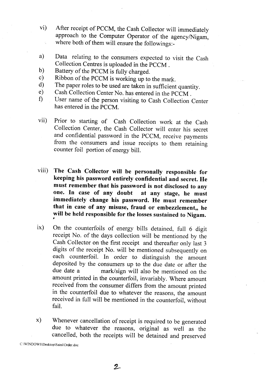- vi) After receipt of PCCM, the cash collector will immediately approach to the Computer Operator of the agency/Nigam, where both of them will ensure the followings:-
- Data relating to the consumers expected to visit the cash Collection Centres is uploaded in the PCCM . a)
- Battery of the PCCM is fully charged. b)
- Ribbon of the PCCM is working up to the mark. c)
- The paper roles to be used are taken in sufficient quantity. d)
- Cash Collection Center No. has entered in the PCCM . e)
- User name of the person visiting to Cash Collection Center has entered in the PCCM.  $\mathbf{f}$
- vii) Prior to starting of cash collection work at the cash collection center, the cash collector will enter his secret and confidential password in the pccM, receive payments from the consumers and issue receipts to them retaining counter foil portion of energy bill.
- viii) The Cash collector will be personally responsible for keeping his password entirely confidential and secret. He must remember that his password is not disclosed to any one. In case of any doubt at any stage, he must immediately change his password. He must remember that in case of any misuse, fraud or embezzlement, he will be held responsible for the losses sustained to Nigam.
- ix) On the counterfoils of energy bills detained, full 6 digit receipt No. of the days collection will be mentioned by the Cash Collector on the first receipt and thereafter only last 3 digits of the receipt No. will be mentioned subsequently on each counterfoil. In order to distinguish the amount deposited by the consumers up to the due date or after the due date a mark/sign will also be mentioned on the mark/sign will also be mentioned on the amount printed in the counterfoil, invariably. Where amount received from the consumer differs from the amount printed in the counterfoil due to whatever the reasons, the amount received in full will be mentioned in the counterfoil. without fail.
- x) Whenever cancellation of receipt is required to be generated due to whatever the reasons, original as well as the cancelled, both the receipts will be detained and preserved

C:\WINDOWS\Desktop\Saini\Order.doc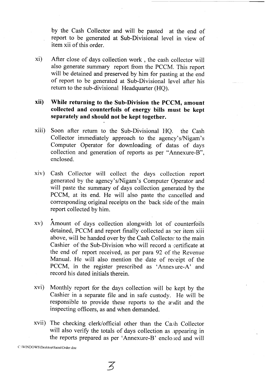by the Cash Collector and will be pasted at the end of report to be generated at Sub-Divisional level in view ofitem xii of this order.

xi) After close of days collection work , the cash collector will also generate summary report from the PCCM. This report will be detained and preserved by him for pasting at the end of report to be generated at Sub-Divisional level after his return to the sub-divisional Headquarter (HQ).

### xii) While returning to the Sub-Division the PCCM, amount collected and counterfoils of energy bills must be kept separately and should not be kept together.

- xiii) Soon after return to the Sub-Divisional HQ. the Cash Collector immediately approach to the agency's/Nigam's Computer Operator for downloading of datas of days collection and generation of reports as per "Annexure-B", enclosed.
- xiv) Cash Collector will collect the days collection report generated by the agency's/Nigam's Computer Operator and will paste the summary of days collection generated by the PCCM, at its end. He will also paste the cancelled and coresponding original receipts on the back side of the main report collected by him.
- xv) Amount of days collection alongwith lot of counterfoils detained, PCCM and report finally collected as per item xiii above, will be handed over by the Cash Collector to the main Cashier of the Sub-Division who will record a certificate at the end of report received, as per para 92 of the Revenue Manual. He will also mention the date of receipt of the PCCM, in the register prescribed as 'Annexure-A' and record his dated initials therein.
- xvi) Monthly report for the days collection will be kept by the Cashier in a separate file and in safe custody. He will be responsible to provide these reports to the audit and the inspecting officers, as and when demanded.
- xvii) The checking clerk/official other than the Cash Collector will also verify the totals of days collection as appearing in the reports prepared as per 'Annexure-B' enclo;ed and will

C.\WINDOWS\Desktop\Saini\Order.doc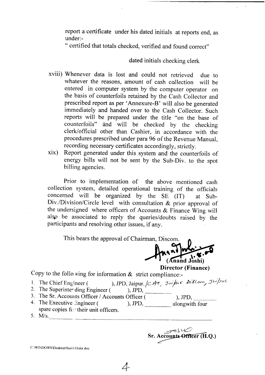report a certificate under his dated initials at reports end, as under:-

" certified that totals checked, verified and found correct"

#### dated initials checking clerk

- xviii) whenever data is lost and could not retrieved due to whatever the reasons, amount of cash collection will be entered in computer system by the computer operator on the basis of counterfoils retained by the Cash collector and prescribed report as per 'Annexure-B' will also be generated immediately and handed over to the Cash Collector. Such reports will be prepared under the title "on the base of counterfoils" and will be checked by the checking clerk/official other than cashier, in accordance with the procedures prescribed under para96 of the Revenue Manual, recording necessary certificates accordingly, strictly.
- xix) Report generated under this system and the counterfoils of energy bills will not be sent by the Sub-Div. to the spot billing agencies.

Prior to implementation of the above mentioned cash collection system, detailed operational training of the officials concerned will be organized by the SE (IT) at Sub-Div./Division/Circle level with consultation & prior approval of the undersigned where officers of Accounts & Finance Wing will also be associated to reply the queries/doubts raised by the participants and resolving other issues, if any.

This bears the approval of Chairman, Discom.

(Anand Joshi)

 $\mathcal{P}$ 

Sr. Accounts Officer (H.O.)

Director (Finance)

Copy to the follo ving for information  $\&$  strict compliance:-

- 1. The Chief Engineer ( ), JPD, Jaipur.  $/c$  Ac, J $\omega/\mu$   $\epsilon$  Dillam, J $\omega/\mu$ 1.
- 2. The Superinter ding Engineer (
- 3. The Sr. Accounts Officer / Accounts Officer ( ), JPD, 4. The Executive  $\exists$ ngineer ( spare copies for their unit officers. ), JPD, alongwith four
- 5. M/s.

C :\WINDOWS\Desktop\Sair i',Order doc